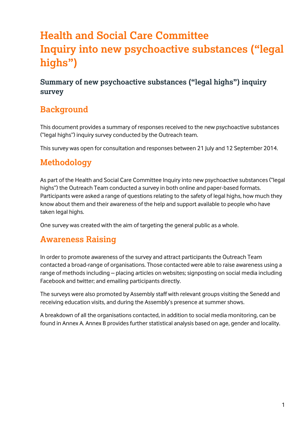# **Health and Social Care Committee Inquiry into new psychoactive substances ("legal highs")**

**Summary of new psychoactive substances ("legal highs") inquiry survey** 

### **Background**

This document provides a summary of responses received to the new psychoactive substances ("legal highs") inquiry survey conducted by the Outreach team.

This survey was open for consultation and responses between 21 July and 12 September 2014.

## **Methodology**

As part of the Health and Social Care Committee Inquiry into new psychoactive substances ("legal highs") the Outreach Team conducted a survey in both online and paper-based formats. Participants were asked a range of questions relating to the safety of legal highs, how much they know about them and their awareness of the help and support available to people who have taken legal highs.

One survey was created with the aim of targeting the general public as a whole.

## **Awareness Raising**

In order to promote awareness of the survey and attract participants the Outreach Team contacted a broad-range of organisations. Those contacted were able to raise awareness using a range of methods including – placing articles on websites; signposting on social media including Facebook and twitter; and emailing participants directly.

The surveys were also promoted by Assembly staff with relevant groups visiting the Senedd and receiving education visits, and during the Assembly's presence at summer shows.

A breakdown of all the organisations contacted, in addition to social media monitoring, can be found in Annex A. Annex B provides further statistical analysis based on age, gender and locality.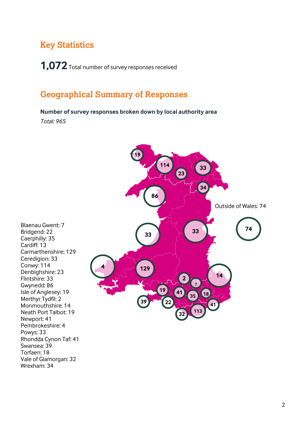### **Key Statistics**

**1,072** Total number of survey responses received

## **Geographical Summary of Responses**

**Number of survey responses broken down by local authority area**

*Total: 965*

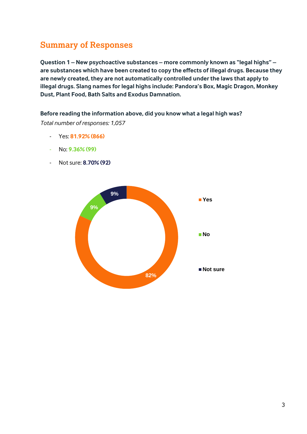# **Summary of Responses**

**Question 1 – New psychoactive substances – more commonly known as "legal highs" – are substances which have been created to copy the effects of illegal drugs. Because they are newly created, they are not automatically controlled under the laws that apply to illegal drugs. Slang names for legal highs include: Pandora's Box, Magic Dragon, Monkey Dust, Plant Food, Bath Salts and Exodus Damnation.** 

#### **Before reading the information above, did you know what a legal high was?**

- Yes: **81.92% (866)**
- No: **9.36% (99)**
- Not sure: **8.70% (92)**

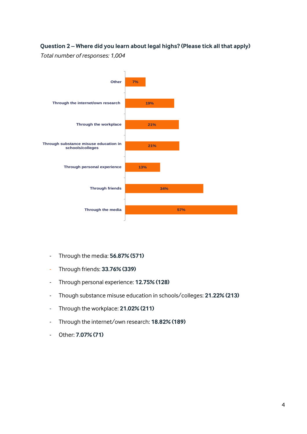#### **Question 2 – Where did you learn about legal highs? (Please tick all that apply)**



- Through the media: **56.87% (571)**
- Through friends: **33.76% (339)**
- Through personal experience: **12.75% (128)**
- Though substance misuse education in schools/colleges: **21.22% (213)**
- Through the workplace: **21.02% (211)**
- Through the internet/own research: **18.82% (189)**
- Other: **7.07% (71)**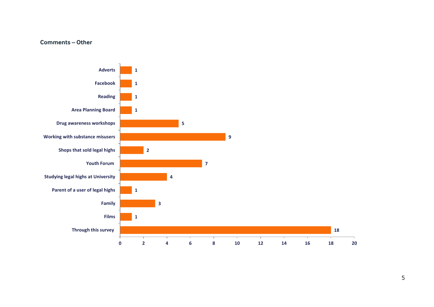#### **Comments – Other**

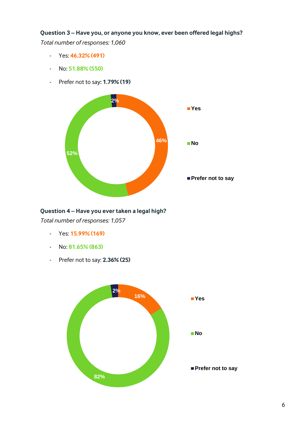### **Question 3 – Have you, or anyone you know, ever been offered legal highs?**

*Total number of responses: 1,060*

- Yes: **46.32% (491)**
- No: **51.88% (550)**
- Prefer not to say**: 1.79% (19)**



#### **Question 4 – Have you ever taken a legal high?**

- Yes: **15.99% (169)**
- No: **81.65% (863)**
- Prefer not to say: **2.36% (25)**

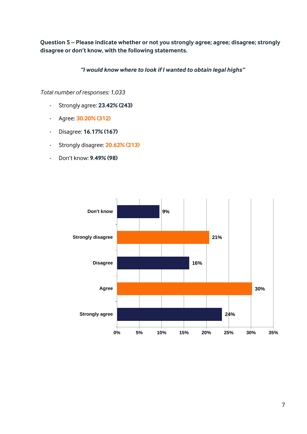**Question 5 – Please indicate whether or not you strongly agree; agree; disagree; strongly disagree or don't know, with the following statements.**

*"I would know where to look if I wanted to obtain legal highs"*

- Strongly agree: **23.42% (243)**
- Agree: **30.20% (312)**
- Disagree: **16.17% (167)**
- Strongly disagree: **20.62% (213)**
- Don't know: **9.49% (98)**

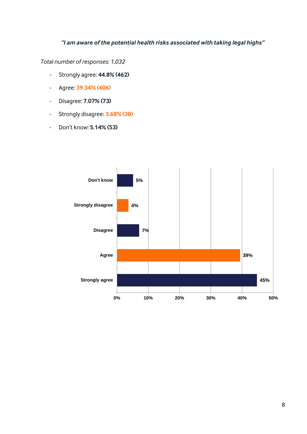### *"I am aware of the potential health risks associated with taking legal highs"*

- Strongly agree: **44.8% (462)**
- Agree: **39.34% (406)**
- Disagree: **7.07% (73)**
- Strongly disagree: **3.68% (38)**
- Don't know: **5.14% (53)**

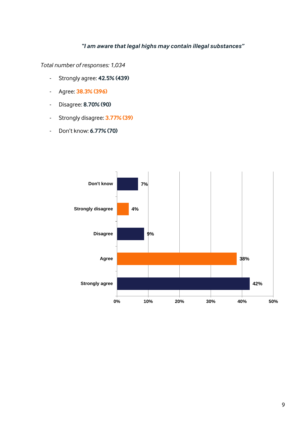#### *"I am aware that legal highs may contain illegal substances"*

- Strongly agree: **42.5% (439)**
- Agree: **38.3% (396)**
- Disagree: **8.70% (90)**
- Strongly disagree: **3.77% (39)**
- Don't know: **6.77% (70)**

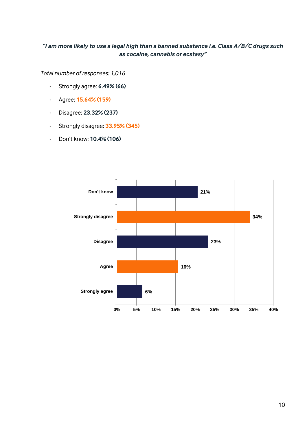#### *"I am more likely to use a legal high than a banned substance i.e. Class A/B/C drugs such as cocaine, cannabis or ecstasy"*

- Strongly agree: **6.49% (66)**
- Agree: **15.64% (159)**
- Disagree: **23.32% (237)**
- Strongly disagree: **33.95% (345)**
- Don't know: **10.4% (106)**

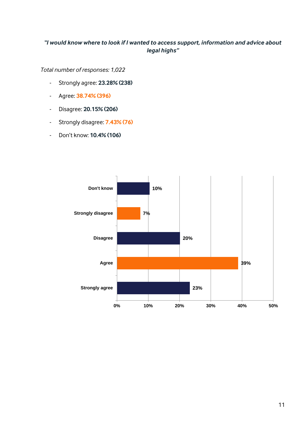#### *"I would know where to look if I wanted to access support, information and advice about legal highs"*

- Strongly agree: **23.28% (238)**
- Agree: **38.74% (396)**
- Disagree: **20.15% (206)**
- Strongly disagree: **7.43% (76)**
- Don't know: **10.4% (106)**

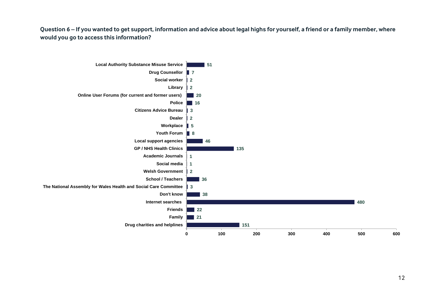**Question 6 – If you wanted to get support, information and advice about legal highs for yourself, a friend or a family member, where would you go to access this information?** 

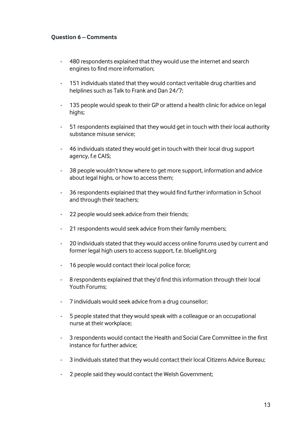#### **Question 6 – Comments**

- 480 respondents explained that they would use the internet and search engines to find more information;
- 151 individuals stated that they would contact veritable drug charities and helplines such as Talk to Frank and Dan 24/7;
- 135 people would speak to their GP or attend a health clinic for advice on legal highs;
- 51 respondents explained that they would get in touch with their local authority substance misuse service;
- 46 individuals stated they would get in touch with their local drug support agency, f.e CAIS;
- 38 people wouldn't know where to get more support, information and advice about legal highs, or how to access them;
- 36 respondents explained that they would find further information in School and through their teachers;
- 22 people would seek advice from their friends;
- 21 respondents would seek advice from their family members;
- 20 individuals stated that they would access online forums used by current and former legal high users to access support, f.e. bluelight.org
- 16 people would contact their local police force;
- 8 respondents explained that they'd find this information through their local Youth Forums;
- 7 individuals would seek advice from a drug counsellor;
- 5 people stated that they would speak with a colleague or an occupational nurse at their workplace;
- 3 respondents would contact the Health and Social Care Committee in the first instance for further advice;
- 3 individuals stated that they would contact their local Citizens Advice Bureau;
- 2 people said they would contact the Welsh Government;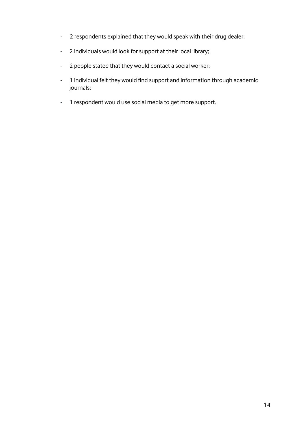- 2 respondents explained that they would speak with their drug dealer;
- 2 individuals would look for support at their local library;
- 2 people stated that they would contact a social worker;
- 1 individual felt they would find support and information through academic journals;
- 1 respondent would use social media to get more support.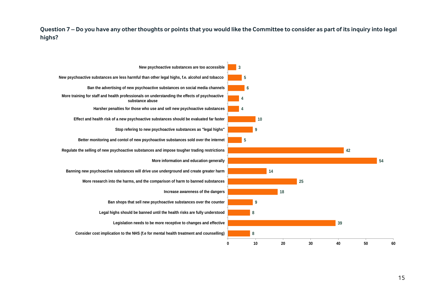**Question 7 – Do you have any other thoughts or points that you would like the Committee to consider as part of its inquiry into legal highs?** 

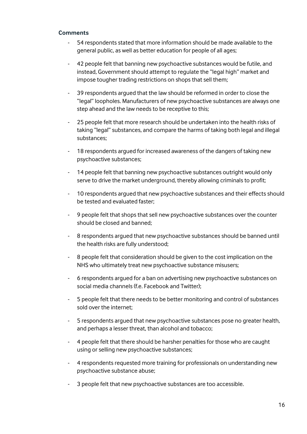#### **Comments**

- 54 respondents stated that more information should be made available to the general public, as well as better education for people of all ages;
- 42 people felt that banning new psychoactive substances would be futile, and instead, Government should attempt to regulate the "legal high" market and impose tougher trading restrictions on shops that sell them;
- 39 respondents argued that the law should be reformed in order to close the "legal" loopholes. Manufacturers of new psychoactive substances are always one step ahead and the law needs to be receptive to this;
- 25 people felt that more research should be undertaken into the health risks of taking "legal" substances, and compare the harms of taking both legal and illegal substances;
- 18 respondents argued for increased awareness of the dangers of taking new psychoactive substances;
- 14 people felt that banning new psychoactive substances outright would only serve to drive the market underground, thereby allowing criminals to profit;
- 10 respondents argued that new psychoactive substances and their effects should be tested and evaluated faster;
- 9 people felt that shops that sell new psychoactive substances over the counter should be closed and banned;
- 8 respondents argued that new psychoactive substances should be banned until the health risks are fully understood;
- 8 people felt that consideration should be given to the cost implication on the NHS who ultimately treat new psychoactive substance misusers;
- 6 respondents argued for a ban on advertising new psychoactive substances on social media channels (f.e. Facebook and Twitter);
- 5 people felt that there needs to be better monitoring and control of substances sold over the internet;
- 5 respondents argued that new psychoactive substances pose no greater health, and perhaps a lesser threat, than alcohol and tobacco;
- 4 people felt that there should be harsher penalties for those who are caught using or selling new psychoactive substances;
- 4 respondents requested more training for professionals on understanding new psychoactive substance abuse;
- 3 people felt that new psychoactive substances are too accessible.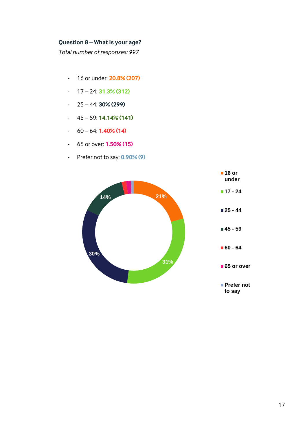#### **Question 8 – What is your age?**

- 16 or under: **20.8% (207)**
- 17 24: **31.3% (312)**
- 25 44: **30% (299)**
- 45 59: **14.14% (141)**
- 60 64: **1.40% (14)**
- 65 or over: **1.50% (15)**
- Prefer not to say: **0.90% (9)**



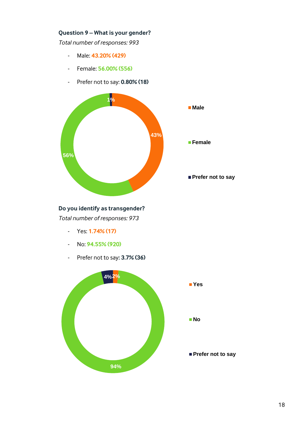#### **Question 9 – What is your gender?**

*Total number of responses: 993*

- Male: **43.20% (429)**
- Female: **56.00% (556)**
- Prefer not to say: **0.80% (18)**



#### **Do you identify as transgender?**

- Yes: **1.74% (17)**
- No: **94.55% (920)**
- Prefer not to say**: 3.7% (36)**